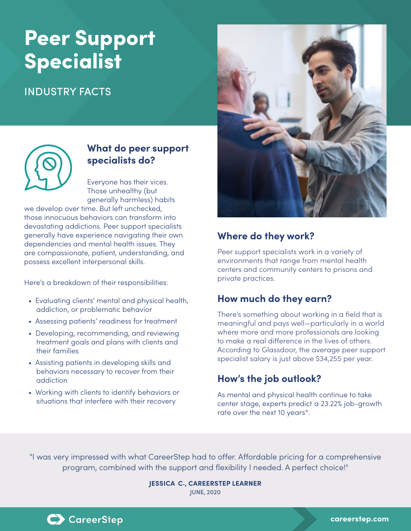# Peer Support **Specialist**

### INDUSTRY FACTS



#### **What do peer support specialists do?**

Everyone has their vices. Those unhealthy (but generally harmless) habits

we develop over time. But left unchecked, those innocuous behaviors can transform into devastating addictions. Peer support specialists generally have experience navigating their own dependencies and mental health issues. They are compassionate, patient, understanding, and possess excellent interpersonal skills.

Here's a breakdown of their responsibilities:

- Evaluating clients' mental and physical health, addiction, or problematic behavior
- Assessing patients' readiness for treatment
- Developing, recommending, and reviewing treatment goals and plans with clients and their families
- Assisting patients in developing skills and behaviors necessary to recover from their addiction
- Working with clients to identify behaviors or situations that interfere with their recovery



#### **Where do they work?**

Peer support specialists work in a variety of environments that range from mental health centers and community centers to prisons and private practices.

#### **How much do they earn?**

There's something about working in a field that is meaningful and pays well—particularly in a world where more and more professionals are looking to make a real difference in the lives of others. According to Glassdoor, the average peer support specialist salary is just above \$34,255 per year.

#### **How's the job outlook?**

As mental and physical health continue to take center stage, experts predict a 23.22% job-growth rate over the next 10 years\*.

"I was very impressed with what CareerStep had to offer. Affordable pricing for a comprehensive program, combined with the support and flexibility I needed. A perfect choice!"

> **JESSICA C., CAREERSTEP LEARNER** JUNE, 2020



C CareerStep